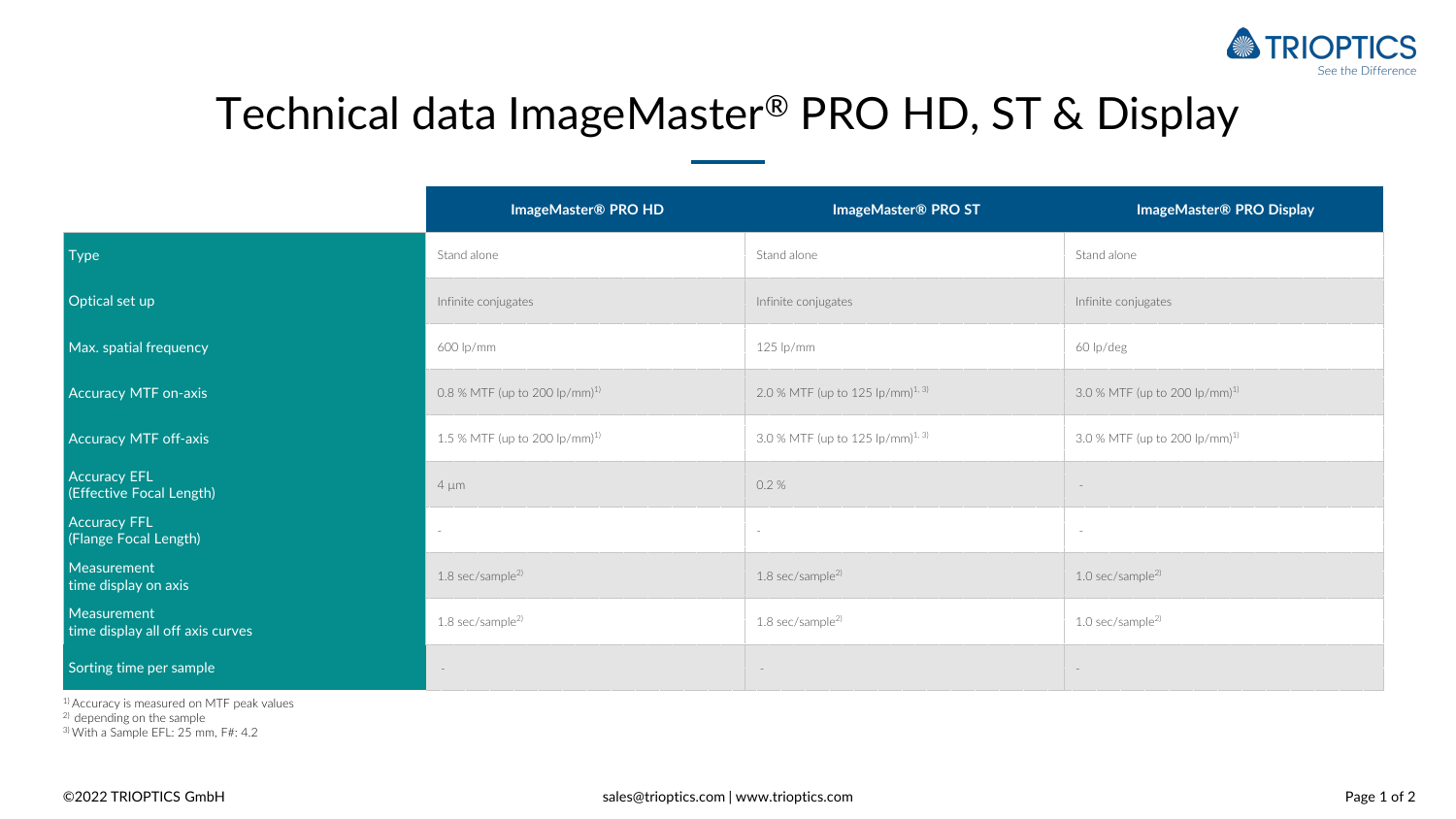

## Technical data ImageMaster® PRO HD, ST & Display

|                                                 | ImageMaster® PRO HD                       | ImageMaster® PRO ST                          | ImageMaster® PRO Display                  |
|-------------------------------------------------|-------------------------------------------|----------------------------------------------|-------------------------------------------|
| Type                                            | Stand alone                               | Stand alone                                  | Stand alone                               |
| Optical set up                                  | Infinite conjugates                       | Infinite conjugates                          | Infinite conjugates                       |
| Max. spatial frequency                          | 600 lp/mm                                 | $125$ lp/mm                                  | 60 lp/deg                                 |
| Accuracy MTF on-axis                            | 0.8 % MTF (up to 200 lp/mm) <sup>1)</sup> | 2.0 % MTF (up to 125 lp/mm) <sup>1, 3)</sup> | 3.0 % MTF (up to 200 lp/mm) <sup>1)</sup> |
| Accuracy MTF off-axis                           | 1.5 % MTF (up to 200 lp/mm) <sup>1)</sup> | 3.0 % MTF (up to 125 lp/mm) <sup>1, 3)</sup> | 3.0 % MTF (up to 200 lp/mm) <sup>1)</sup> |
| <b>Accuracy EFL</b><br>(Effective Focal Length) | $4 \mu m$                                 | 0.2%                                         |                                           |
| <b>Accuracy FFL</b><br>(Flange Focal Length)    |                                           |                                              |                                           |
| Measurement<br>time display on axis             | $1.8$ sec/sample <sup>2)</sup>            | $1.8$ sec/sample <sup>2)</sup>               | $1.0$ sec/sample <sup>2)</sup>            |
| Measurement<br>time display all off axis curves | $1.8$ sec/sample <sup>2)</sup>            | 1.8 sec/sample <sup>2)</sup>                 | $1.0$ sec/sample <sup>2)</sup>            |
| Sorting time per sample                         | $\sim$                                    | $\sim$                                       | $\overline{\phantom{a}}$                  |

1) Accuracy is measured on MTF peak values

<sup>2)</sup> depending on the sample

3) With a Sample EFL: 25 mm, F#: 4.2